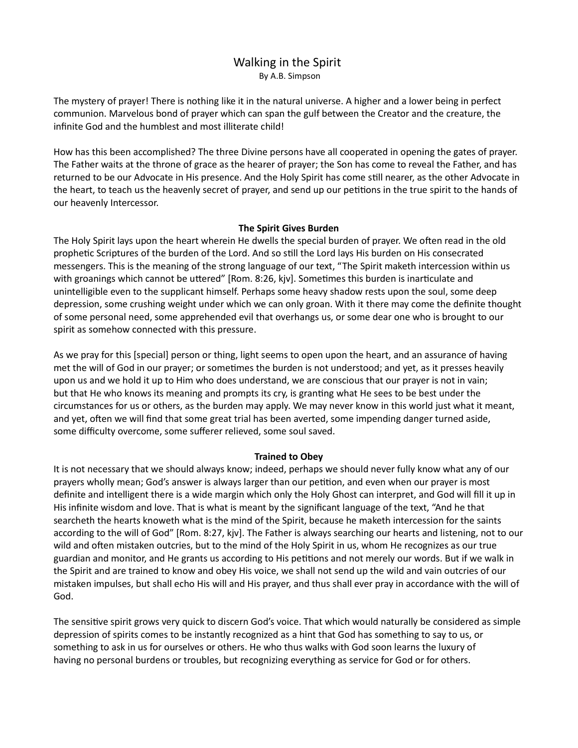## Walking in the Spirit By A.B. Simpson

The mystery of prayer! There is nothing like it in the natural universe. A higher and a lower being in perfect communion. Marvelous bond of prayer which can span the gulf between the Creator and the creature, the infinite God and the humblest and most illiterate child!

How has this been accomplished? The three Divine persons have all cooperated in opening the gates of prayer. The Father waits at the throne of grace as the hearer of prayer; the Son has come to reveal the Father, and has returned to be our Advocate in His presence. And the Holy Spirit has come still nearer, as the other Advocate in the heart, to teach us the heavenly secret of prayer, and send up our petitions in the true spirit to the hands of our heavenly Intercessor.

## The Spirit Gives Burden

The Holy Spirit lays upon the heart wherein He dwells the special burden of prayer. We often read in the old prophetic Scriptures of the burden of the Lord. And so still the Lord lays His burden on His consecrated messengers. This is the meaning of the strong language of our text, "The Spirit maketh intercession within us with groanings which cannot be uttered" [Rom. 8:26, kjv]. Sometimes this burden is inarticulate and unintelligible even to the supplicant himself. Perhaps some heavy shadow rests upon the soul, some deep depression, some crushing weight under which we can only groan. With it there may come the definite thought of some personal need, some apprehended evil that overhangs us, or some dear one who is brought to our spirit as somehow connected with this pressure.

As we pray for this [special] person or thing, light seems to open upon the heart, and an assurance of having met the will of God in our prayer; or sometimes the burden is not understood; and yet, as it presses heavily upon us and we hold it up to Him who does understand, we are conscious that our prayer is not in vain; but that He who knows its meaning and prompts its cry, is granting what He sees to be best under the circumstances for us or others, as the burden may apply. We may never know in this world just what it meant, and yet, often we will find that some great trial has been averted, some impending danger turned aside, some difficulty overcome, some sufferer relieved, some soul saved.

## Trained to Obey

It is not necessary that we should always know; indeed, perhaps we should never fully know what any of our prayers wholly mean; God's answer is always larger than our petition, and even when our prayer is most definite and intelligent there is a wide margin which only the Holy Ghost can interpret, and God will fill it up in His infinite wisdom and love. That is what is meant by the significant language of the text, "And he that searcheth the hearts knoweth what is the mind of the Spirit, because he maketh intercession for the saints according to the will of God" [Rom. 8:27, kjv]. The Father is always searching our hearts and listening, not to our wild and often mistaken outcries, but to the mind of the Holy Spirit in us, whom He recognizes as our true guardian and monitor, and He grants us according to His petitions and not merely our words. But if we walk in the Spirit and are trained to know and obey His voice, we shall not send up the wild and vain outcries of our mistaken impulses, but shall echo His will and His prayer, and thus shall ever pray in accordance with the will of God.

The sensitive spirit grows very quick to discern God's voice. That which would naturally be considered as simple depression of spirits comes to be instantly recognized as a hint that God has something to say to us, or something to ask in us for ourselves or others. He who thus walks with God soon learns the luxury of having no personal burdens or troubles, but recognizing everything as service for God or for others.